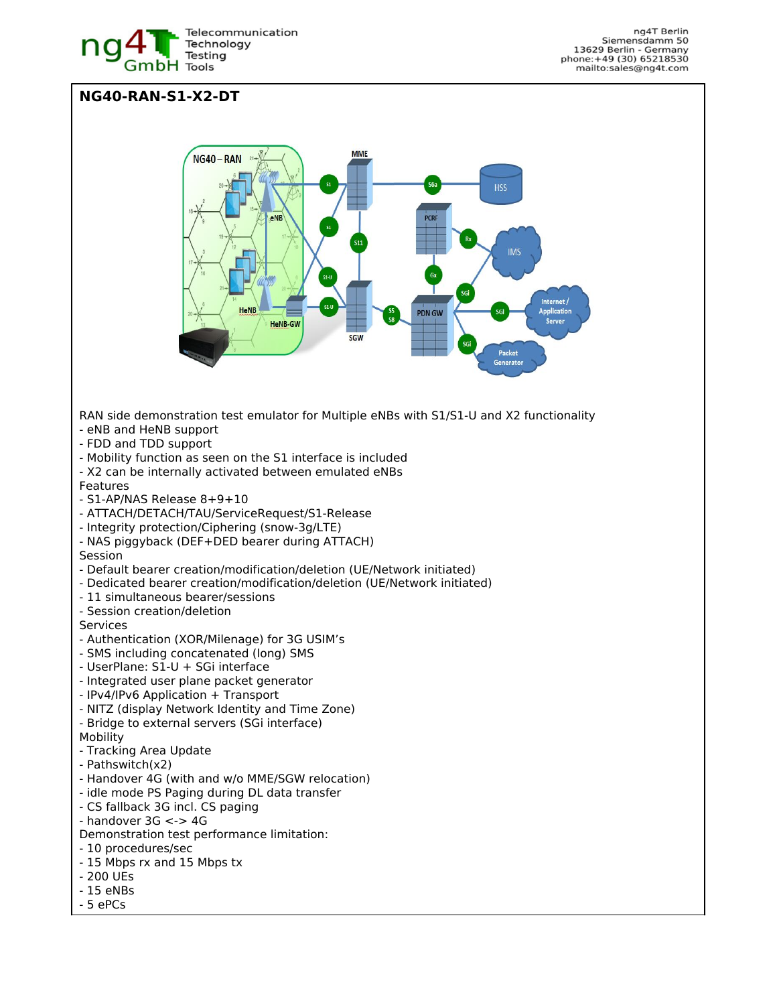

## **NG40-RAN-S1-X2-DT MME** NG40-RAN **HSS IMS** Internet/ plicatio **PDN GW HeNB-GW SGW** Packet Generat RAN side demonstration test emulator for Multiple eNBs with S1/S1-U and X2 functionality - eNB and HeNB support - FDD and TDD support - Mobility function as seen on the S1 interface is included - X2 can be internally activated between emulated eNBs Features - S1-AP/NAS Release 8+9+10 - ATTACH/DETACH/TAU/ServiceRequest/S1-Release - Integrity protection/Ciphering (snow-3g/LTE) - NAS piggyback (DEF+DED bearer during ATTACH) Session - Default bearer creation/modification/deletion (UE/Network initiated) - Dedicated bearer creation/modification/deletion (UE/Network initiated) - 11 simultaneous bearer/sessions - Session creation/deletion **Services** - Authentication (XOR/Milenage) for 3G USIM's - SMS including concatenated (long) SMS - UserPlane: S1-U + SGi interface - Integrated user plane packet generator - IPv4/IPv6 Application + Transport - NITZ (display Network Identity and Time Zone) - Bridge to external servers (SGi interface) Mobility - Tracking Area Update - Pathswitch(x2) - Handover 4G (with and w/o MME/SGW relocation) - idle mode PS Paging during DL data transfer - CS fallback 3G incl. CS paging - handover 3G <-> 4G Demonstration test performance limitation: - 10 procedures/sec - 15 Mbps rx and 15 Mbps tx - 200 UEs - 15 eNBs

- 5 ePCs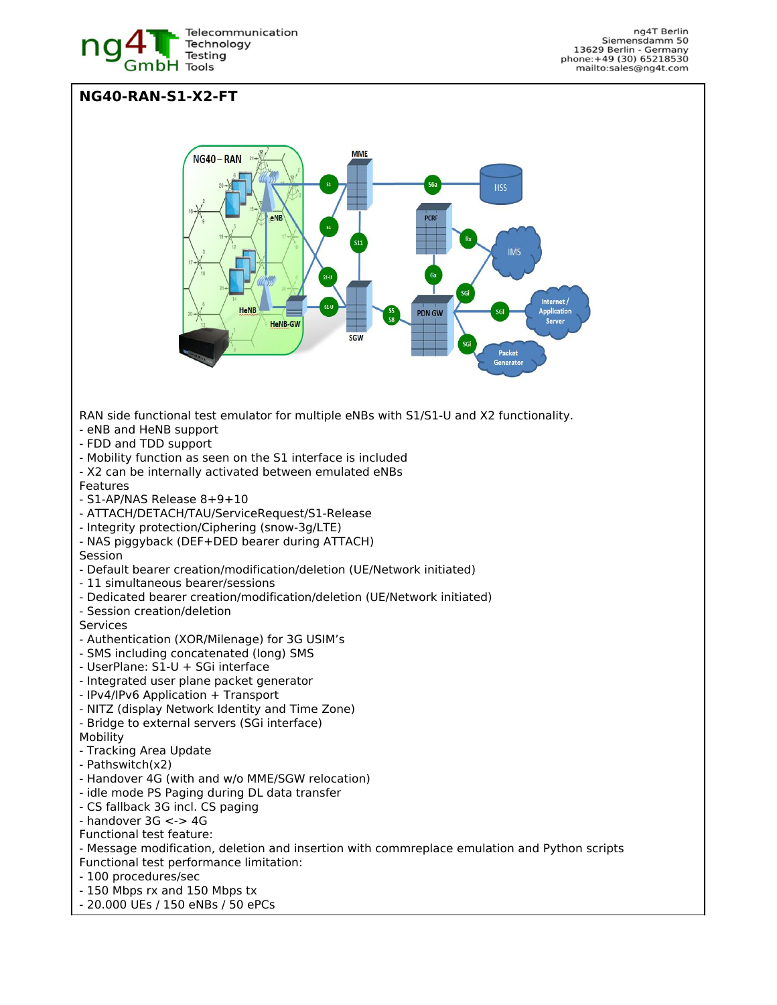

## **NG40-RAN-S1-X2-FT MME** NG40-RAN **HSS IMS** nternet/ plication **PDN GW HeNB-GW SGW** Packet Generat RAN side functional test emulator for multiple eNBs with S1/S1-U and X2 functionality. - eNB and HeNB support - FDD and TDD support - Mobility function as seen on the S1 interface is included - X2 can be internally activated between emulated eNBs Features - S1-AP/NAS Release 8+9+10 - ATTACH/DETACH/TAU/ServiceRequest/S1-Release - Integrity protection/Ciphering (snow-3g/LTE) - NAS piggyback (DEF+DED bearer during ATTACH) Session - Default bearer creation/modification/deletion (UE/Network initiated) - 11 simultaneous bearer/sessions - Dedicated bearer creation/modification/deletion (UE/Network initiated) - Session creation/deletion Services - Authentication (XOR/Milenage) for 3G USIM's - SMS including concatenated (long) SMS - UserPlane: S1-U + SGi interface - Integrated user plane packet generator - IPv4/IPv6 Application + Transport - NITZ (display Network Identity and Time Zone) - Bridge to external servers (SGi interface) Mobility - Tracking Area Update - Pathswitch(x2) - Handover 4G (with and w/o MME/SGW relocation) - idle mode PS Paging during DL data transfer - CS fallback 3G incl. CS paging - handover 3G <-> 4G Functional test feature: - Message modification, deletion and insertion with commreplace emulation and Python scripts Functional test performance limitation: - 100 procedures/sec - 150 Mbps rx and 150 Mbps tx

- 20.000 UEs / 150 eNBs / 50 ePCs